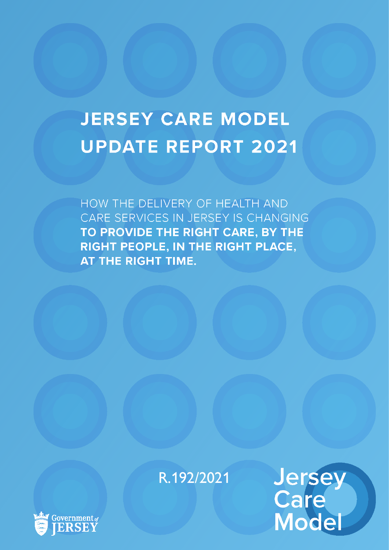# **JERSEY CARE MODEL UPDATE REPORT 2021**

HOW THE DELIVERY OF HEALTH AND CARE SERVICES IN JERSEY IS CHANGING TO PROVIDE THE RIGHT CARE, BY THE RIGHT PEOPLE, IN THE RIGHT PLACE, AT THE RIGHT TIME.

R.192/2021



Jersey<br>Care<br>Model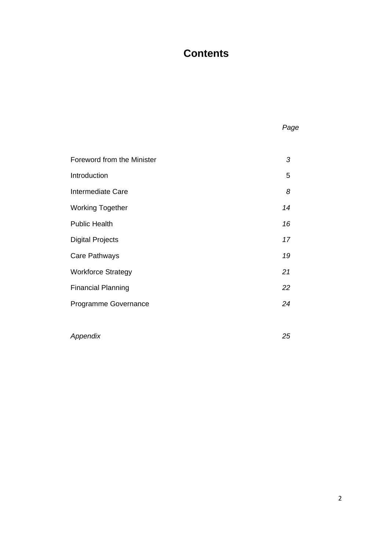#### **Contents**

| Foreword from the Minister | 3  |
|----------------------------|----|
| Introduction               | 5  |
| Intermediate Care          | 8  |
| <b>Working Together</b>    | 14 |
| <b>Public Health</b>       | 16 |
| <b>Digital Projects</b>    | 17 |
| Care Pathways              | 19 |
| <b>Workforce Strategy</b>  | 21 |
| <b>Financial Planning</b>  | 22 |
| Programme Governance       | 24 |
|                            |    |

*Appendix 25*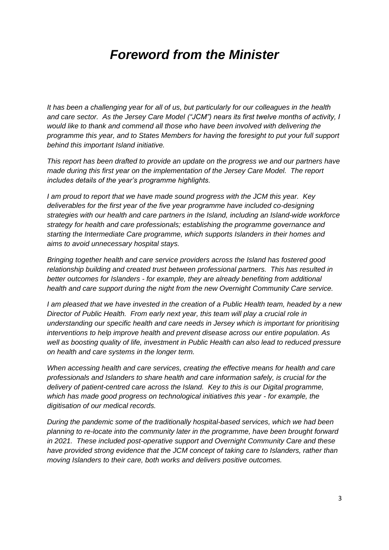## *Foreword from the Minister*

*It has been a challenging year for all of us, but particularly for our colleagues in the health and care sector. As the Jersey Care Model ("JCM") nears its first twelve months of activity, I would like to thank and commend all those who have been involved with delivering the programme this year, and to States Members for having the foresight to put your full support behind this important Island initiative.*

*This report has been drafted to provide an update on the progress we and our partners have made during this first year on the implementation of the Jersey Care Model. The report includes details of the year's programme highlights.* 

*I am proud to report that we have made sound progress with the JCM this year. Key deliverables for the first year of the five year programme have included co-designing strategies with our health and care partners in the Island, including an Island-wide workforce strategy for health and care professionals; establishing the programme governance and starting the Intermediate Care programme, which supports Islanders in their homes and aims to avoid unnecessary hospital stays.*

*Bringing together health and care service providers across the Island has fostered good relationship building and created trust between professional partners. This has resulted in better outcomes for Islanders - for example, they are already benefiting from additional health and care support during the night from the new Overnight Community Care service.* 

*I am pleased that we have invested in the creation of a Public Health team, headed by a new Director of Public Health. From early next year, this team will play a crucial role in understanding our specific health and care needs in Jersey which is important for prioritising interventions to help improve health and prevent disease across our entire population. As well as boosting quality of life, investment in Public Health can also lead to reduced pressure on health and care systems in the longer term.* 

*When accessing health and care services, creating the effective means for health and care professionals and Islanders to share health and care information safely, is crucial for the delivery of patient-centred care across the Island. Key to this is our Digital programme, which has made good progress on technological initiatives this year - for example, the digitisation of our medical records.* 

*During the pandemic some of the traditionally hospital-based services, which we had been planning to re-locate into the community later in the programme, have been brought forward in 2021. These included post-operative support and Overnight Community Care and these have provided strong evidence that the JCM concept of taking care to Islanders, rather than moving Islanders to their care, both works and delivers positive outcomes.*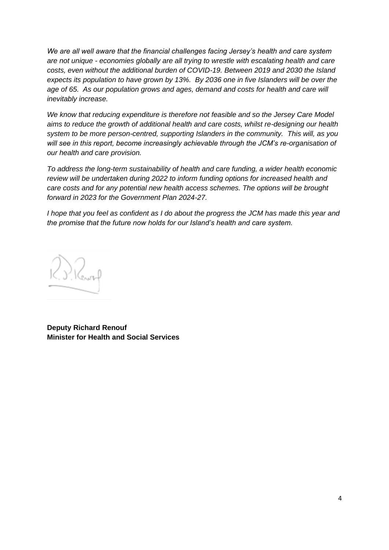*We are all well aware that the financial challenges facing Jersey's health and care system are not unique - economies globally are all trying to wrestle with escalating health and care costs, even without the additional burden of COVID-19. Between 2019 and 2030 the Island expects its population to have grown by 13%. By 2036 one in five Islanders will be over the age of 65. As our population grows and ages, demand and costs for health and care will inevitably increase.* 

*We know that reducing expenditure is therefore not feasible and so the Jersey Care Model aims to reduce the growth of additional health and care costs, whilst re-designing our health system to be more person-centred, supporting Islanders in the community. This will, as you will see in this report, become increasingly achievable through the JCM's re-organisation of our health and care provision.* 

*To address the long-term sustainability of health and care funding, a wider health economic review will be undertaken during 2022 to inform funding options for increased health and care costs and for any potential new health access schemes. The options will be brought forward in 2023 for the Government Plan 2024-27.* 

*I hope that you feel as confident as I do about the progress the JCM has made this year and the promise that the future now holds for our Island's health and care system.*

. S. Renox

**Deputy Richard Renouf Minister for Health and Social Services**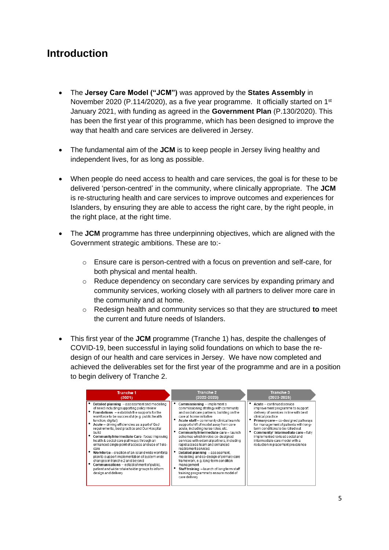#### **Introduction**

- The **Jersey Care Model ("JCM")** was approved by the **States Assembly** in November 2020 (P.114/2020), as a five year programme. It officially started on 1<sup>st</sup> January 2021, with funding as agreed in the **Government Plan** (P.130/2020). This has been the first year of this programme, which has been designed to improve the way that health and care services are delivered in Jersey.
- The fundamental aim of the **JCM** is to keep people in Jersey living healthy and independent lives, for as long as possible.
- When people do need access to health and care services, the goal is for these to be delivered 'person-centred' in the community, where clinically appropriate. The **JCM** is re-structuring health and care services to improve outcomes and experiences for Islanders, by ensuring they are able to access the right care, by the right people, in the right place, at the right time.
- The **JCM** programme has three underpinning objectives, which are aligned with the Government strategic ambitions. These are to:-
	- $\circ$  Ensure care is person-centred with a focus on prevention and self-care, for both physical and mental health.
	- $\circ$  Reduce dependency on secondary care services by expanding primary and community services, working closely with all partners to deliver more care in the community and at home.
	- o Redesign health and community services so that they are structured **to** meet the current and future needs of Islanders.
- This first year of the **JCM** programme (Tranche 1) has, despite the challenges of COVID-19, been successful in laying solid foundations on which to base the redesign of our health and care services in Jersey. We have now completed and achieved the deliverables set for the first year of the programme and are in a position to begin delivery of Tranche 2.

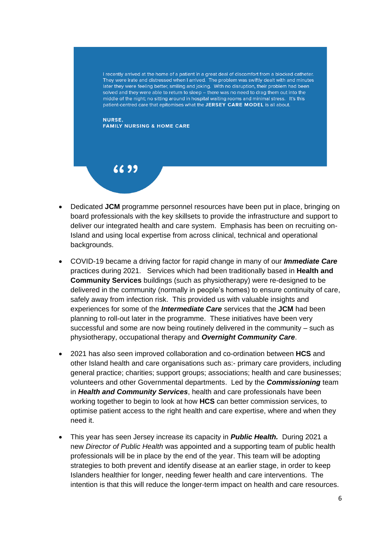I recently arrived at the home of a patient in a great deal of discomfort from a blocked catheter. They were irate and distressed when I arrived. The problem was swiftly dealt with and minutes later they were feeling better, smiling and joking. With no disruption, their problem had been solved and they were able to return to sleep - there was no need to drag them out into the middle of the night; no sitting around in hospital waiting rooms and minimal stress. It's this patient-centred care that epitomises what the JERSEY CARE MODEL is all about.

#### **NURSE. FAMILY NURSING & HOME CARE**

## $6699$

- Dedicated **JCM** programme personnel resources have been put in place, bringing on board professionals with the key skillsets to provide the infrastructure and support to deliver our integrated health and care system. Emphasis has been on recruiting on-Island and using local expertise from across clinical, technical and operational backgrounds.
- COVID-19 became a driving factor for rapid change in many of our *Immediate Care* practices during 2021. Services which had been traditionally based in **Health and Community Services** buildings (such as physiotherapy) were re-designed to be delivered in the community (normally in people's homes) to ensure continuity of care, safely away from infection risk. This provided us with valuable insights and experiences for some of the *Intermediate Care* services that the **JCM** had been planning to roll-out later in the programme. These initiatives have been very successful and some are now being routinely delivered in the community – such as physiotherapy, occupational therapy and *Overnight Community Care*.
- 2021 has also seen improved collaboration and co-ordination between **HCS** and other Island health and care organisations such as:- primary care providers, including general practice; charities; support groups; associations; health and care businesses; volunteers and other Governmental departments. Led by the *Commissioning* team in *Health and Community Services*, health and care professionals have been working together to begin to look at how **HCS** can better commission services, to optimise patient access to the right health and care expertise, where and when they need it.
- This year has seen Jersey increase its capacity in *Public Health.* During 2021 a new *Director of Public Health* was appointed and a supporting team of public health professionals will be in place by the end of the year. This team will be adopting strategies to both prevent and identify disease at an earlier stage, in order to keep Islanders healthier for longer, needing fewer health and care interventions. The intention is that this will reduce the longer-term impact on health and care resources.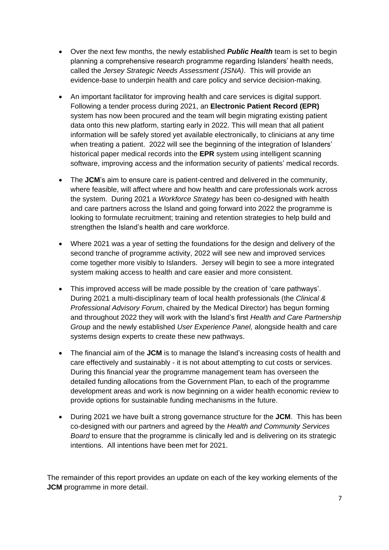- Over the next few months, the newly established *Public Health* team is set to begin planning a comprehensive research programme regarding Islanders' health needs, called the *Jersey Strategic Needs Assessment (JSNA)*. This will provide an evidence-base to underpin health and care policy and service decision-making.
- An important facilitator for improving health and care services is digital support. Following a tender process during 2021, an **Electronic Patient Record (EPR)** system has now been procured and the team will begin migrating existing patient data onto this new platform, starting early in 2022. This will mean that all patient information will be safely stored yet available electronically, to clinicians at any time when treating a patient. 2022 will see the beginning of the integration of Islanders' historical paper medical records into the **EPR** system using intelligent scanning software, improving access and the information security of patients' medical records.
- The **JCM**'s aim to ensure care is patient-centred and delivered in the community, where feasible, will affect where and how health and care professionals work across the system. During 2021 a *Workforce Strategy* has been co-designed with health and care partners across the Island and going forward into 2022 the programme is looking to formulate recruitment; training and retention strategies to help build and strengthen the Island's health and care workforce.
- Where 2021 was a year of setting the foundations for the design and delivery of the second tranche of programme activity, 2022 will see new and improved services come together more visibly to Islanders. Jersey will begin to see a more integrated system making access to health and care easier and more consistent.
- This improved access will be made possible by the creation of 'care pathways'. During 2021 a multi-disciplinary team of local health professionals (the *Clinical & Professional Advisory Forum*, chaired by the Medical Director) has begun forming and throughout 2022 they will work with the Island's first *Health and Care Partnership Group* and the newly established *User Experience Panel,* alongside health and care systems design experts to create these new pathways.
- The financial aim of the **JCM** is to manage the Island's increasing costs of health and care effectively and sustainably - it is not about attempting to cut costs or services. During this financial year the programme management team has overseen the detailed funding allocations from the Government Plan, to each of the programme development areas and work is now beginning on a wider health economic review to provide options for sustainable funding mechanisms in the future.
- During 2021 we have built a strong governance structure for the **JCM**. This has been co-designed with our partners and agreed by the *Health and Community Services Board* to ensure that the programme is clinically led and is delivering on its strategic intentions. All intentions have been met for 2021.

The remainder of this report provides an update on each of the key working elements of the **JCM** programme in more detail.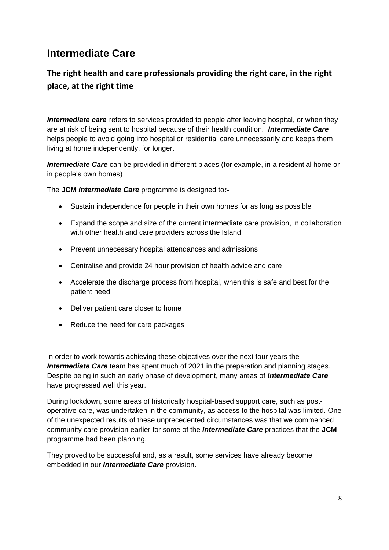### **Intermediate Care**

#### **The right health and care professionals providing the right care, in the right place, at the right time**

*Intermediate care* refers to services provided to people after leaving hospital, or when they are at risk of being sent to hospital because of their health condition. *Intermediate Care* helps people to avoid going into hospital or residential care unnecessarily and keeps them living at home independently, for longer.

*Intermediate Care* can be provided in different places (for example, in a residential home or in people's own homes).

The **JCM** *Intermediate Care* programme is designed to*:-*

- Sustain independence for people in their own homes for as long as possible
- Expand the scope and size of the current intermediate care provision, in collaboration with other health and care providers across the Island
- Prevent unnecessary hospital attendances and admissions
- Centralise and provide 24 hour provision of health advice and care
- Accelerate the discharge process from hospital, when this is safe and best for the patient need
- Deliver patient care closer to home
- Reduce the need for care packages

In order to work towards achieving these objectives over the next four years the *Intermediate Care* team has spent much of 2021 in the preparation and planning stages. Despite being in such an early phase of development, many areas of *Intermediate Care* have progressed well this year.

During lockdown, some areas of historically hospital-based support care, such as postoperative care, was undertaken in the community, as access to the hospital was limited. One of the unexpected results of these unprecedented circumstances was that we commenced community care provision earlier for some of the *Intermediate Care* practices that the **JCM** programme had been planning.

They proved to be successful and, as a result, some services have already become embedded in our *Intermediate Care* provision.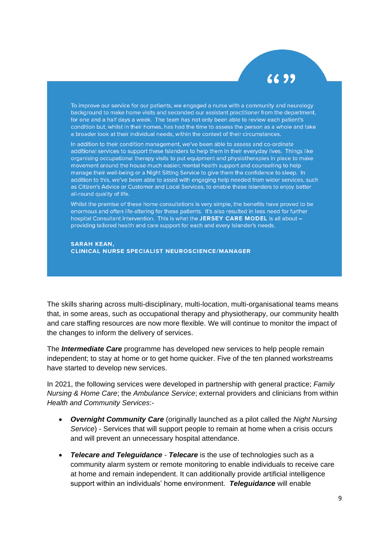## 6699

To improve our service for our patients, we engaged a nurse with a community and neurology background to make home visits and seconded our assistant practitioner from the department, for one and a half days a week. The team has not only been able to review each patient's condition but, whilst in their homes, has had the time to assess the person as a whole and take a broader look at their individual needs, within the context of their circumstances.

In addition to their condition management, we've been able to assess and co-ordinate additional services to support these Islanders to help them in their everyday lives. Things like organising occupational therapy visits to put equipment and physiotherapies in place to make movement around the house much easier; mental health support and counselling to help manage their well-being or a Night Sitting Service to give them the confidence to sleep. In addition to this, we've been able to assist with engaging help needed from wider services, such as Citizen's Advice or Customer and Local Services, to enable these Islanders to enjoy better all-round quality of life.

Whilst the premise of these home consultations is very simple, the benefits have proved to be enormous and often life-altering for these patients. It's also resulted in less need for further hospital Consultant intervention. This is what the JERSEY CARE MODEL is all about providing tailored health and care support for each and every Islander's needs.

**SARAH KEAN, CLINICAL NURSE SPECIALIST NEUROSCIENCE/MANAGER** 

The skills sharing across multi-disciplinary, multi-location, multi-organisational teams means that, in some areas, such as occupational therapy and physiotherapy, our community health and care staffing resources are now more flexible. We will continue to monitor the impact of the changes to inform the delivery of services.

The *Intermediate Care* programme has developed new services to help people remain independent; to stay at home or to get home quicker. Five of the ten planned workstreams have started to develop new services.

In 2021, the following services were developed in partnership with general practice; *Family Nursing & Home Care*; the *Ambulance Service*; external providers and clinicians from within *Health and Community Services*:-

- *Overnight Community Care* (originally launched as a pilot called the *Night Nursing Service*) - Services that will support people to remain at home when a crisis occurs and will prevent an unnecessary hospital attendance.
- *Telecare and Teleguidance Telecare* is the use of technologies such as a community alarm system or remote monitoring to enable individuals to receive care at home and remain independent. It can additionally provide artificial intelligence support within an individuals' home environment. *Teleguidance* will enable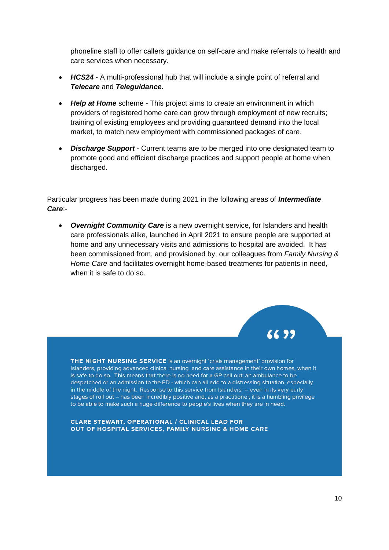phoneline staff to offer callers guidance on self-care and make referrals to health and care services when necessary.

- *HCS24* A multi-professional hub that will include a single point of referral and *Telecare* and *Teleguidance.*
- *Help at Home* scheme This project aims to create an environment in which providers of registered home care can grow through employment of new recruits; training of existing employees and providing guaranteed demand into the local market, to match new employment with commissioned packages of care.
- **Discharge Support** Current teams are to be merged into one designated team to promote good and efficient discharge practices and support people at home when discharged.

Particular progress has been made during 2021 in the following areas of *Intermediate Care*:-

• *Overnight Community Care* is a new overnight service, for Islanders and health care professionals alike, launched in April 2021 to ensure people are supported at home and any unnecessary visits and admissions to hospital are avoided. It has been commissioned from, and provisioned by, our colleagues from *Family Nursing & Home Care* and facilitates overnight home-based treatments for patients in need, when it is safe to do so.



THE NIGHT NURSING SERVICE is an overnight 'crisis management' provision for Islanders, providing advanced clinical nursing and care assistance in their own homes, when it is safe to do so. This means that there is no need for a GP call out; an ambulance to be despatched or an admission to the ED - which can all add to a distressing situation, especially in the middle of the night. Response to this service from Islanders - even in its very early stages of roll out - has been incredibly positive and, as a practitioner, it is a humbling privilege to be able to make such a huge difference to people's lives when they are in need.

**CLARE STEWART, OPERATIONAL / CLINICAL LEAD FOR** OUT OF HOSPITAL SERVICES, FAMILY NURSING & HOME CARE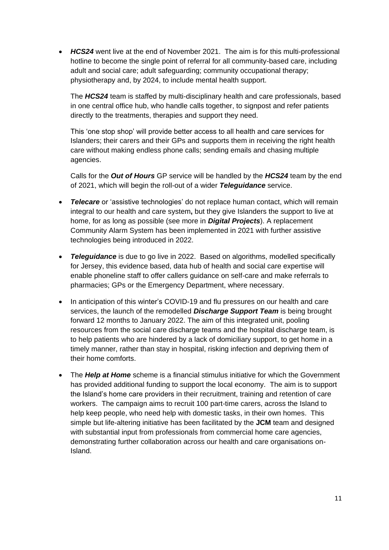• *HCS24* went live at the end of November 2021. The aim is for this multi-professional hotline to become the single point of referral for all community-based care, including adult and social care; adult safeguarding; community occupational therapy; physiotherapy and, by 2024, to include mental health support.

The *HCS24* team is staffed by multi-disciplinary health and care professionals, based in one central office hub, who handle calls together, to signpost and refer patients directly to the treatments, therapies and support they need.

This 'one stop shop' will provide better access to all health and care services for Islanders; their carers and their GPs and supports them in receiving the right health care without making endless phone calls; sending emails and chasing multiple agencies.

Calls for the *Out of Hours* GP service will be handled by the *HCS24* team by the end of 2021, which will begin the roll-out of a wider *Teleguidance* service.

- *Telecare* or 'assistive technologies' do not replace human contact, which will remain integral to our health and care system**,** but they give Islanders the support to live at home, for as long as possible (see more in *Digital Projects*). A replacement Community Alarm System has been implemented in 2021 with further assistive technologies being introduced in 2022.
- *Teleguidance* is due to go live in 2022. Based on algorithms, modelled specifically for Jersey, this evidence based, data hub of health and social care expertise will enable phoneline staff to offer callers guidance on self-care and make referrals to pharmacies; GPs or the Emergency Department, where necessary.
- In anticipation of this winter's COVID-19 and flu pressures on our health and care services, the launch of the remodelled *Discharge Support Team* is being brought forward 12 months to January 2022. The aim of this integrated unit, pooling resources from the social care discharge teams and the hospital discharge team, is to help patients who are hindered by a lack of domiciliary support, to get home in a timely manner, rather than stay in hospital, risking infection and depriving them of their home comforts.
- The *Help at Home* scheme is a financial stimulus initiative for which the Government has provided additional funding to support the local economy. The aim is to support the Island's home care providers in their recruitment, training and retention of care workers. The campaign aims to recruit 100 part-time carers, across the Island to help keep people, who need help with domestic tasks, in their own homes. This simple but life-altering initiative has been facilitated by the **JCM** team and designed with substantial input from professionals from commercial home care agencies, demonstrating further collaboration across our health and care organisations on-Island.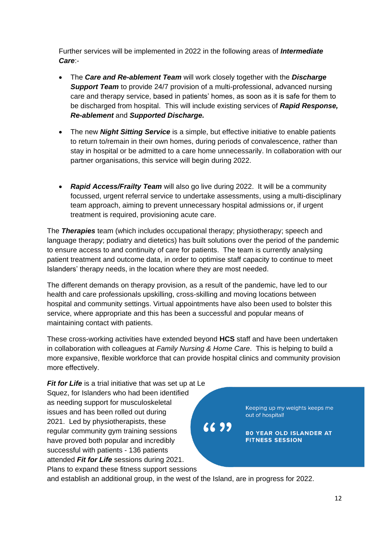Further services will be implemented in 2022 in the following areas of *Intermediate Care*:-

- The *Care and Re-ablement Team* will work closely together with the *Discharge Support Team* to provide 24/7 provision of a multi-professional, advanced nursing care and therapy service, based in patients' homes, as soon as it is safe for them to be discharged from hospital. This will include existing services of *Rapid Response, Re-ablement* and *Supported Discharge.*
- The new *Night Sitting Service* is a simple, but effective initiative to enable patients to return to/remain in their own homes, during periods of convalescence, rather than stay in hospital or be admitted to a care home unnecessarily. In collaboration with our partner organisations, this service will begin during 2022.
- *Rapid Access/Frailty Team* will also go live during 2022. It will be a community focussed, urgent referral service to undertake assessments, using a multi-disciplinary team approach, aiming to prevent unnecessary hospital admissions or, if urgent treatment is required, provisioning acute care.

The *Therapies* team (which includes occupational therapy; physiotherapy; speech and language therapy; podiatry and dietetics) has built solutions over the period of the pandemic to ensure access to and continuity of care for patients. The team is currently analysing patient treatment and outcome data, in order to optimise staff capacity to continue to meet Islanders' therapy needs, in the location where they are most needed.

The different demands on therapy provision, as a result of the pandemic, have led to our health and care professionals upskilling, cross-skilling and moving locations between hospital and community settings. Virtual appointments have also been used to bolster this service, where appropriate and this has been a successful and popular means of maintaining contact with patients.

These cross-working activities have extended beyond **HCS** staff and have been undertaken in collaboration with colleagues at *Family Nursing & Home Care*. This is helping to build a more expansive, flexible workforce that can provide hospital clinics and community provision more effectively.

6699

*Fit for Life* is a trial initiative that was set up at Le Squez, for Islanders who had been identified as needing support for musculoskeletal issues and has been rolled out during 2021. Led by physiotherapists, these regular community gym training sessions have proved both popular and incredibly successful with patients - 136 patients attended *Fit for Life* sessions during 2021. Plans to expand these fitness support sessions

Keeping up my weights keeps me out of hospital!

**80 YEAR OLD ISLANDER AT FITNESS SESSION** 

and establish an additional group, in the west of the Island, are in progress for 2022.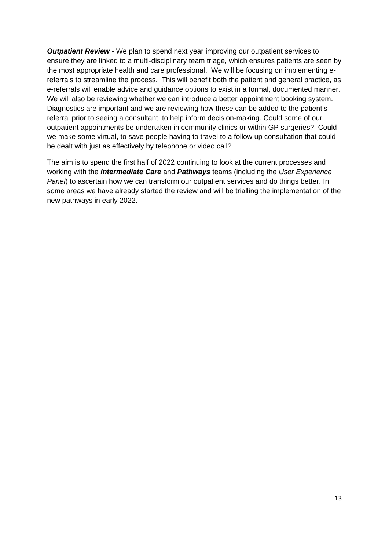*Outpatient Review* - We plan to spend next year improving our outpatient services to ensure they are linked to a multi-disciplinary team triage, which ensures patients are seen by the most appropriate health and care professional. We will be focusing on implementing ereferrals to streamline the process. This will benefit both the patient and general practice, as e-referrals will enable advice and guidance options to exist in a formal, documented manner. We will also be reviewing whether we can introduce a better appointment booking system. Diagnostics are important and we are reviewing how these can be added to the patient's referral prior to seeing a consultant, to help inform decision-making. Could some of our outpatient appointments be undertaken in community clinics or within GP surgeries? Could we make some virtual, to save people having to travel to a follow up consultation that could be dealt with just as effectively by telephone or video call?

The aim is to spend the first half of 2022 continuing to look at the current processes and working with the *Intermediate Care* and *Pathways* teams (including the *User Experience Panel*) to ascertain how we can transform our outpatient services and do things better. In some areas we have already started the review and will be trialling the implementation of the new pathways in early 2022.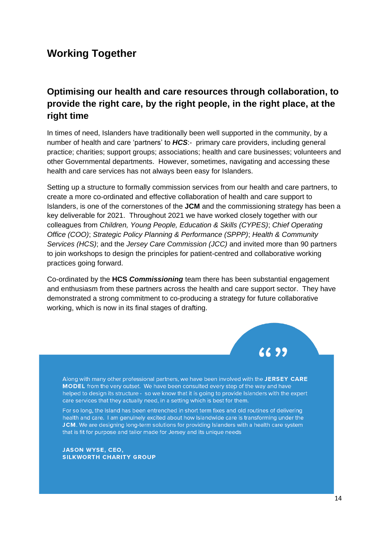#### **Working Together**

#### **Optimising our health and care resources through collaboration, to provide the right care, by the right people, in the right place, at the right time**

In times of need, Islanders have traditionally been well supported in the community, by a number of health and care 'partners' to *HCS*:- primary care providers, including general practice; charities; support groups; associations; health and care businesses; volunteers and other Governmental departments. However, sometimes, navigating and accessing these health and care services has not always been easy for Islanders.

Setting up a structure to formally commission services from our health and care partners, to create a more co-ordinated and effective collaboration of health and care support to Islanders, is one of the cornerstones of the **JCM** and the commissioning strategy has been a key deliverable for 2021. Throughout 2021 we have worked closely together with our colleagues from *Children, Young People, Education & Skills (CYPES)*; *Chief Operating Office (COO)*; *Strategic Policy Planning & Performance (SPPP)*; *Health & Community Services (HCS)*; and the *Jersey Care Commission (JCC)* and invited more than 90 partners to join workshops to design the principles for patient-centred and collaborative working practices going forward.

Co-ordinated by the **HCS** *Commissioning* team there has been substantial engagement and enthusiasm from these partners across the health and care support sector. They have demonstrated a strong commitment to co-producing a strategy for future collaborative working, which is now in its final stages of drafting.



Along with many other professional partners, we have been involved with the JERSEY CARE MODEL from the very outset. We have been consulted every step of the way and have helped to design its structure - so we know that it is going to provide Islanders with the expert care services that they actually need, in a setting which is best for them.

For so long, the Island has been entrenched in short term fixes and old routines of delivering health and care. I am genuinely excited about how Islandwide care is transforming under the JCM. We are designing long-term solutions for providing Islanders with a health care system that is fit for purpose and tailor made for Jersey and its unique needs

**JASON WYSE, CEO, SILKWORTH CHARITY GROUP**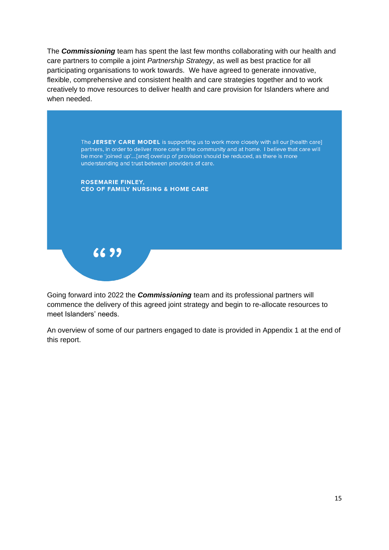The *Commissioning* team has spent the last few months collaborating with our health and care partners to compile a joint *Partnership Strategy*, as well as best practice for all participating organisations to work towards. We have agreed to generate innovative, flexible, comprehensive and consistent health and care strategies together and to work creatively to move resources to deliver health and care provision for Islanders where and when needed.



Going forward into 2022 the *Commissioning* team and its professional partners will commence the delivery of this agreed joint strategy and begin to re-allocate resources to meet Islanders' needs.

An overview of some of our partners engaged to date is provided in Appendix 1 at the end of this report.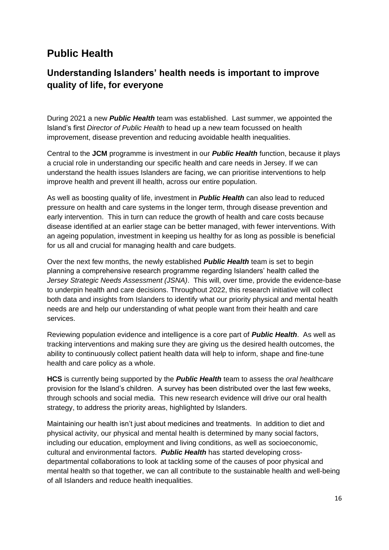#### **Public Health**

#### **Understanding Islanders' health needs is important to improve quality of life, for everyone**

During 2021 a new *Public Health* team was established. Last summer, we appointed the Island's first *Director of Public Health* to head up a new team focussed on health improvement, disease prevention and reducing avoidable health inequalities.

Central to the **JCM** programme is investment in our *Public Health* function, because it plays a crucial role in understanding our specific health and care needs in Jersey. If we can understand the health issues Islanders are facing, we can prioritise interventions to help improve health and prevent ill health, across our entire population.

As well as boosting quality of life, investment in *Public Health* can also lead to reduced pressure on health and care systems in the longer term, through disease prevention and early intervention. This in turn can reduce the growth of health and care costs because disease identified at an earlier stage can be better managed, with fewer interventions. With an ageing population, investment in keeping us healthy for as long as possible is beneficial for us all and crucial for managing health and care budgets.

Over the next few months, the newly established *Public Health* team is set to begin planning a comprehensive research programme regarding Islanders' health called the *Jersey Strategic Needs Assessment (JSNA)*. This will, over time, provide the evidence-base to underpin health and care decisions. Throughout 2022, this research initiative will collect both data and insights from Islanders to identify what our priority physical and mental health needs are and help our understanding of what people want from their health and care services.

Reviewing population evidence and intelligence is a core part of *Public Health*. As well as tracking interventions and making sure they are giving us the desired health outcomes, the ability to continuously collect patient health data will help to inform, shape and fine-tune health and care policy as a whole.

**HCS** is currently being supported by the *Public Health* team to assess the *oral healthcare* provision for the Island's children. A survey has been distributed over the last few weeks, through schools and social media. This new research evidence will drive our oral health strategy, to address the priority areas, highlighted by Islanders.

Maintaining our health isn't just about medicines and treatments. In addition to diet and physical activity, our physical and mental health is determined by many social factors, including our education, employment and living conditions, as well as socioeconomic, cultural and environmental factors. *Public Health* has started developing crossdepartmental collaborations to look at tackling some of the causes of poor physical and mental health so that together, we can all contribute to the sustainable health and well-being of all Islanders and reduce health inequalities.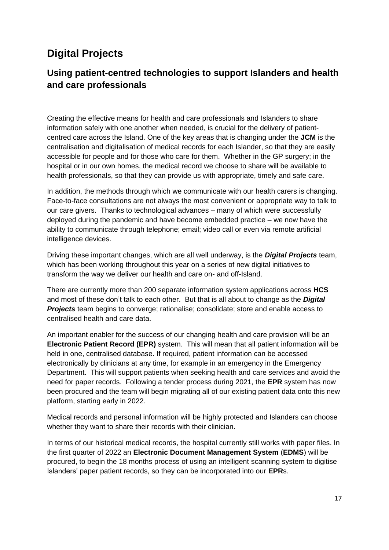## **Digital Projects**

#### **Using patient-centred technologies to support Islanders and health and care professionals**

Creating the effective means for health and care professionals and Islanders to share information safely with one another when needed, is crucial for the delivery of patientcentred care across the Island. One of the key areas that is changing under the **JCM** is the centralisation and digitalisation of medical records for each Islander, so that they are easily accessible for people and for those who care for them. Whether in the GP surgery; in the hospital or in our own homes, the medical record we choose to share will be available to health professionals, so that they can provide us with appropriate, timely and safe care.

In addition, the methods through which we communicate with our health carers is changing. Face-to-face consultations are not always the most convenient or appropriate way to talk to our care givers. Thanks to technological advances – many of which were successfully deployed during the pandemic and have become embedded practice – we now have the ability to communicate through telephone; email; video call or even via remote artificial intelligence devices.

Driving these important changes, which are all well underway, is the *Digital Projects* team, which has been working throughout this year on a series of new digital initiatives to transform the way we deliver our health and care on- and off-Island.

There are currently more than 200 separate information system applications across **HCS**  and most of these don't talk to each other. But that is all about to change as the *Digital Projects* team begins to converge; rationalise; consolidate; store and enable access to centralised health and care data.

An important enabler for the success of our changing health and care provision will be an **Electronic Patient Record (EPR)** system. This will mean that all patient information will be held in one, centralised database. If required, patient information can be accessed electronically by clinicians at any time, for example in an emergency in the Emergency Department. This will support patients when seeking health and care services and avoid the need for paper records. Following a tender process during 2021, the **EPR** system has now been procured and the team will begin migrating all of our existing patient data onto this new platform, starting early in 2022.

Medical records and personal information will be highly protected and Islanders can choose whether they want to share their records with their clinician.

In terms of our historical medical records, the hospital currently still works with paper files. In the first quarter of 2022 an **Electronic Document Management System** (**EDMS**) will be procured, to begin the 18 months process of using an intelligent scanning system to digitise Islanders' paper patient records, so they can be incorporated into our **EPR**s.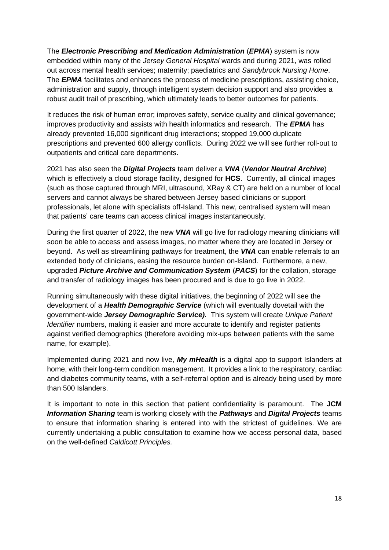The *Electronic Prescribing and Medication Administration* (*EPMA*) system is now embedded within many of the *Jersey General Hospital* wards and during 2021, was rolled out across mental health services; maternity; paediatrics and *Sandybrook Nursing Home*. The *EPMA* facilitates and enhances the process of medicine prescriptions, assisting choice, administration and supply, through intelligent system decision support and also provides a robust audit trail of prescribing, which ultimately leads to better outcomes for patients.

It reduces the risk of human error; improves safety, service quality and clinical governance; improves productivity and assists with health informatics and research. The *EPMA* has already prevented 16,000 significant drug interactions; stopped 19,000 duplicate prescriptions and prevented 600 allergy conflicts. During 2022 we will see further roll-out to outpatients and critical care departments.

2021 has also seen the *Digital Projects* team deliver a *VNA* (*Vendor Neutral Archive*) which is effectively a cloud storage facility, designed for **HCS**. Currently, all clinical images (such as those captured through MRI, ultrasound, XRay & CT) are held on a number of local servers and cannot always be shared between Jersey based clinicians or support professionals, let alone with specialists off-Island. This new, centralised system will mean that patients' care teams can access clinical images instantaneously.

During the first quarter of 2022, the new *VNA* will go live for radiology meaning clinicians will soon be able to access and assess images, no matter where they are located in Jersey or beyond. As well as streamlining pathways for treatment, the *VNA* can enable referrals to an extended body of clinicians, easing the resource burden on-Island. Furthermore, a new, upgraded *Picture Archive and Communication System* (*PACS*) for the collation, storage and transfer of radiology images has been procured and is due to go live in 2022.

Running simultaneously with these digital initiatives, the beginning of 2022 will see the development of a *Health Demographic Service* (which will eventually dovetail with the government-wide *Jersey Demographic Service).* This system will create *Unique Patient Identifier* numbers, making it easier and more accurate to identify and register patients against verified demographics (therefore avoiding mix-ups between patients with the same name, for example).

Implemented during 2021 and now live, *My mHealth* is a digital app to support Islanders at home, with their long-term condition management. It provides a link to the respiratory, cardiac and diabetes community teams, with a self-referral option and is already being used by more than 500 Islanders.

It is important to note in this section that patient confidentiality is paramount. The **JCM** *Information Sharing* team is working closely with the *Pathways* and *Digital Projects* teams to ensure that information sharing is entered into with the strictest of guidelines. We are currently undertaking a public consultation to examine how we access personal data, based on the well-defined *Caldicott Principles.*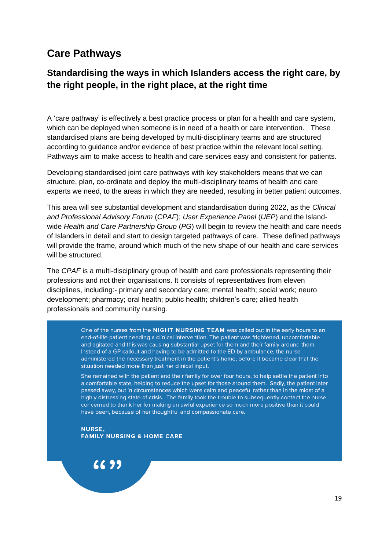#### **Care Pathways**

#### **Standardising the ways in which Islanders access the right care, by the right people, in the right place, at the right time**

A 'care pathway' is effectively a best practice process or plan for a health and care system, which can be deployed when someone is in need of a health or care intervention. These standardised plans are being developed by multi-disciplinary teams and are structured according to guidance and/or evidence of best practice within the relevant local setting. Pathways aim to make access to health and care services easy and consistent for patients.

Developing standardised joint care pathways with key stakeholders means that we can structure, plan, co-ordinate and deploy the multi-disciplinary teams of health and care experts we need, to the areas in which they are needed, resulting in better patient outcomes.

This area will see substantial development and standardisation during 2022, as the *Clinical and Professional Advisory Forum* (*CPAF*); *User Experience Panel* (*UEP*) and the Islandwide *Health and Care Partnership Group* (*PG*) will begin to review the health and care needs of Islanders in detail and start to design targeted pathways of care. These defined pathways will provide the frame, around which much of the new shape of our health and care services will be structured.

The *CPAF* is a multi-disciplinary group of health and care professionals representing their professions and not their organisations. It consists of representatives from eleven disciplines, including:- primary and secondary care; mental health; social work; neuro development; pharmacy; oral health; public health; children's care; allied health professionals and community nursing.

> One of the nurses from the NIGHT NURSING TEAM was called out in the early hours to an end-of-life patient needing a clinical intervention. The patient was frightened, uncomfortable and agitated and this was causing substantial upset for them and their family around them. Instead of a GP callout and having to be admitted to the ED by ambulance, the nurse administered the necessary treatment in the patient's home, before it became clear that the situation needed more than just her clinical input.

> She remained with the patient and their family for over four hours, to help settle the patient into a comfortable state, helping to reduce the upset for those around them. Sadly, the patient later passed away, but in circumstances which were calm and peaceful rather than in the midst of a highly distressing state of crisis. The family took the trouble to subsequently contact the nurse concerned to thank her for making an awful experience so much more positive than it could have been, because of her thoughtful and compassionate care.

**NURSE, FAMILY NURSING & HOME CARE** 

6699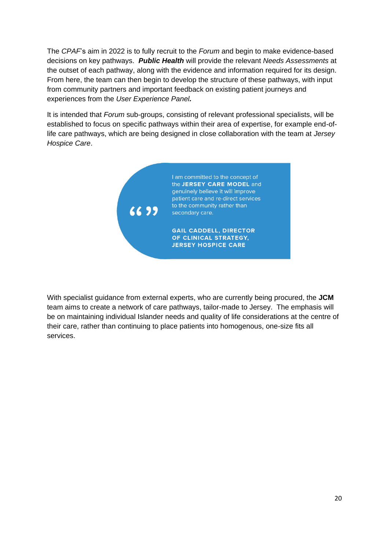The *CPAF*'s aim in 2022 is to fully recruit to the *Forum* and begin to make evidence-based decisions on key pathways. *Public Health* will provide the relevant *Needs Assessments* at the outset of each pathway, along with the evidence and information required for its design. From here, the team can then begin to develop the structure of these pathways, with input from community partners and important feedback on existing patient journeys and experiences from the *User Experience Panel.* 

It is intended that *Forum* sub-groups, consisting of relevant professional specialists, will be established to focus on specific pathways within their area of expertise, for example end-oflife care pathways, which are being designed in close collaboration with the team at *Jersey Hospice Care*.



With specialist guidance from external experts, who are currently being procured, the **JCM** team aims to create a network of care pathways, tailor-made to Jersey. The emphasis will be on maintaining individual Islander needs and quality of life considerations at the centre of their care, rather than continuing to place patients into homogenous, one-size fits all services.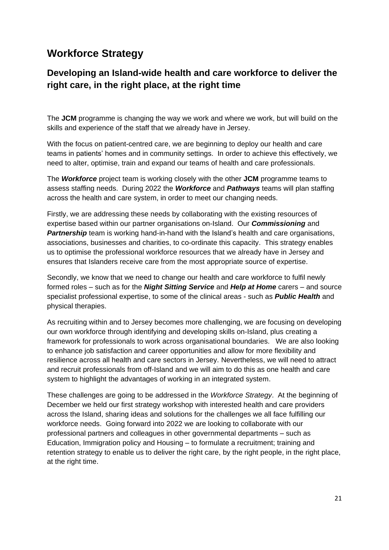#### **Workforce Strategy**

#### **Developing an Island-wide health and care workforce to deliver the right care, in the right place, at the right time**

The **JCM** programme is changing the way we work and where we work, but will build on the skills and experience of the staff that we already have in Jersey.

With the focus on patient-centred care, we are beginning to deploy our health and care teams in patients' homes and in community settings. In order to achieve this effectively, we need to alter, optimise, train and expand our teams of health and care professionals.

The *Workforce* project team is working closely with the other **JCM** programme teams to assess staffing needs. During 2022 the *Workforce* and *Pathways* teams will plan staffing across the health and care system, in order to meet our changing needs.

Firstly, we are addressing these needs by collaborating with the existing resources of expertise based within our partner organisations on-Island. Our *Commissioning* and **Partnership** team is working hand-in-hand with the Island's health and care organisations, associations, businesses and charities, to co-ordinate this capacity. This strategy enables us to optimise the professional workforce resources that we already have in Jersey and ensures that Islanders receive care from the most appropriate source of expertise.

Secondly, we know that we need to change our health and care workforce to fulfil newly formed roles – such as for the *Night Sitting Service* and *Help at Home* carers – and source specialist professional expertise, to some of the clinical areas - such as *Public Health* and physical therapies.

As recruiting within and to Jersey becomes more challenging, we are focusing on developing our own workforce through identifying and developing skills on-Island, plus creating a framework for professionals to work across organisational boundaries. We are also looking to enhance job satisfaction and career opportunities and allow for more flexibility and resilience across all health and care sectors in Jersey. Nevertheless, we will need to attract and recruit professionals from off-Island and we will aim to do this as one health and care system to highlight the advantages of working in an integrated system.

These challenges are going to be addressed in the *Workforce Strategy*. At the beginning of December we held our first strategy workshop with interested health and care providers across the Island, sharing ideas and solutions for the challenges we all face fulfilling our workforce needs. Going forward into 2022 we are looking to collaborate with our professional partners and colleagues in other governmental departments – such as Education, Immigration policy and Housing – to formulate a recruitment; training and retention strategy to enable us to deliver the right care, by the right people, in the right place, at the right time.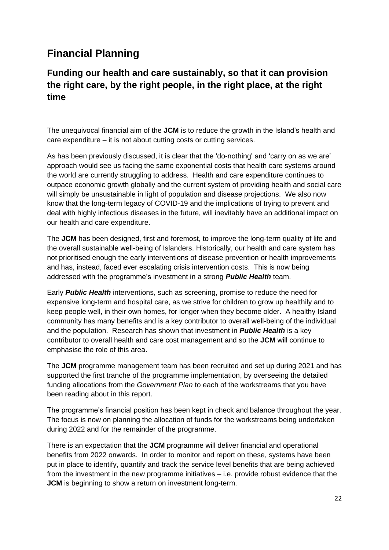## **Financial Planning**

#### **Funding our health and care sustainably, so that it can provision the right care, by the right people, in the right place, at the right time**

The unequivocal financial aim of the **JCM** is to reduce the growth in the Island's health and care expenditure – it is not about cutting costs or cutting services.

As has been previously discussed, it is clear that the 'do-nothing' and 'carry on as we are' approach would see us facing the same exponential costs that health care systems around the world are currently struggling to address. Health and care expenditure continues to outpace economic growth globally and the current system of providing health and social care will simply be unsustainable in light of population and disease projections. We also now know that the long-term legacy of COVID-19 and the implications of trying to prevent and deal with highly infectious diseases in the future, will inevitably have an additional impact on our health and care expenditure.

The **JCM** has been designed, first and foremost, to improve the long-term quality of life and the overall sustainable well-being of Islanders. Historically, our health and care system has not prioritised enough the early interventions of disease prevention or health improvements and has, instead, faced ever escalating crisis intervention costs. This is now being addressed with the programme's investment in a strong *Public Health* team.

Early *Public Health* interventions, such as screening, promise to reduce the need for expensive long-term and hospital care, as we strive for children to grow up healthily and to keep people well, in their own homes, for longer when they become older. A healthy Island community has many benefits and is a key contributor to overall well-being of the individual and the population. Research has shown that investment in *Public Health* is a key contributor to overall health and care cost management and so the **JCM** will continue to emphasise the role of this area.

The **JCM** programme management team has been recruited and set up during 2021 and has supported the first tranche of the programme implementation, by overseeing the detailed funding allocations from the *Government Plan* to each of the workstreams that you have been reading about in this report.

The programme's financial position has been kept in check and balance throughout the year. The focus is now on planning the allocation of funds for the workstreams being undertaken during 2022 and for the remainder of the programme.

There is an expectation that the **JCM** programme will deliver financial and operational benefits from 2022 onwards. In order to monitor and report on these, systems have been put in place to identify, quantify and track the service level benefits that are being achieved from the investment in the new programme initiatives – i.e. provide robust evidence that the **JCM** is beginning to show a return on investment long-term.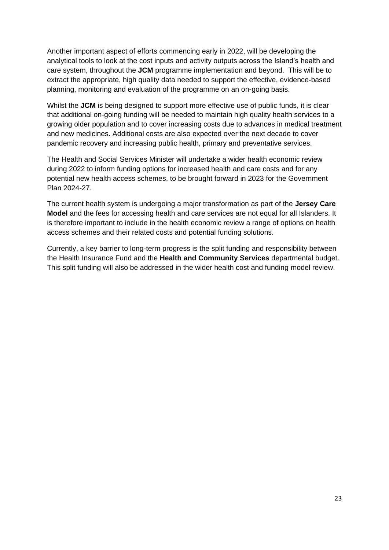Another important aspect of efforts commencing early in 2022, will be developing the analytical tools to look at the cost inputs and activity outputs across the Island's health and care system, throughout the **JCM** programme implementation and beyond. This will be to extract the appropriate, high quality data needed to support the effective, evidence-based planning, monitoring and evaluation of the programme on an on-going basis.

Whilst the **JCM** is being designed to support more effective use of public funds, it is clear that additional on-going funding will be needed to maintain high quality health services to a growing older population and to cover increasing costs due to advances in medical treatment and new medicines. Additional costs are also expected over the next decade to cover pandemic recovery and increasing public health, primary and preventative services.

The Health and Social Services Minister will undertake a wider health economic review during 2022 to inform funding options for increased health and care costs and for any potential new health access schemes, to be brought forward in 2023 for the Government Plan 2024-27.

The current health system is undergoing a major transformation as part of the **Jersey Care Model** and the fees for accessing health and care services are not equal for all Islanders. It is therefore important to include in the health economic review a range of options on health access schemes and their related costs and potential funding solutions.

Currently, a key barrier to long-term progress is the split funding and responsibility between the Health Insurance Fund and the **Health and Community Services** departmental budget. This split funding will also be addressed in the wider health cost and funding model review.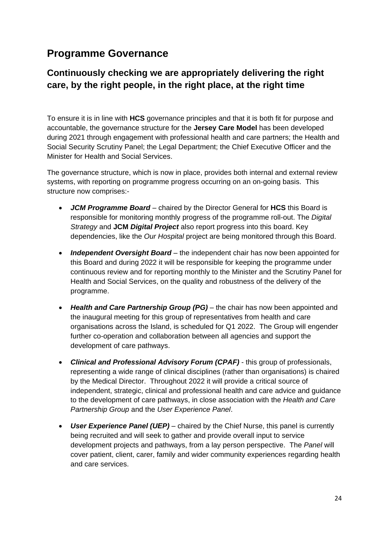### **Programme Governance**

#### **Continuously checking we are appropriately delivering the right care, by the right people, in the right place, at the right time**

To ensure it is in line with **HCS** governance principles and that it is both fit for purpose and accountable, the governance structure for the **Jersey Care Model** has been developed during 2021 through engagement with professional health and care partners; the Health and Social Security Scrutiny Panel; the Legal Department; the Chief Executive Officer and the Minister for Health and Social Services.

The governance structure, which is now in place, provides both internal and external review systems, with reporting on programme progress occurring on an on-going basis. This structure now comprises:-

- *JCM Programme Board* chaired by the Director General for **HCS** this Board is responsible for monitoring monthly progress of the programme roll-out. The *Digital Strategy* and **JCM** *Digital Project* also report progress into this board. Key dependencies, like the *Our Hospital* project are being monitored through this Board.
- *Independent Oversight Board* the independent chair has now been appointed for this Board and during 2022 it will be responsible for keeping the programme under continuous review and for reporting monthly to the Minister and the Scrutiny Panel for Health and Social Services, on the quality and robustness of the delivery of the programme.
- *Health and Care Partnership Group (PG)* the chair has now been appointed and the inaugural meeting for this group of representatives from health and care organisations across the Island, is scheduled for Q1 2022. The Group will engender further co-operation and collaboration between all agencies and support the development of care pathways.
- *Clinical and Professional Advisory Forum (CPAF)* this group of professionals, representing a wide range of clinical disciplines (rather than organisations) is chaired by the Medical Director. Throughout 2022 it will provide a critical source of independent, strategic, clinical and professional health and care advice and guidance to the development of care pathways, in close association with the *Health and Care Partnership Group* and the *User Experience Panel*.
- *User Experience Panel (UEP)* chaired by the Chief Nurse, this panel is currently being recruited and will seek to gather and provide overall input to service development projects and pathways, from a lay person perspective. The *Panel* will cover patient, client, carer, family and wider community experiences regarding health and care services.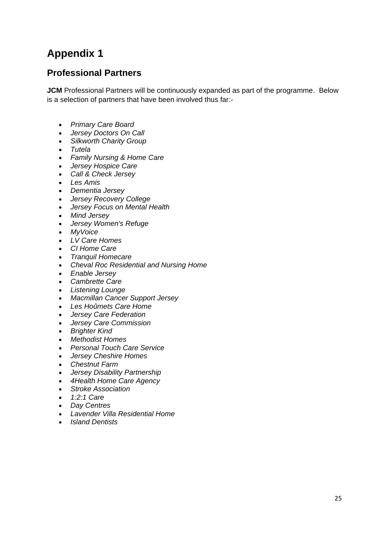## **Appendix 1**

#### **Professional Partners**

**JCM** Professional Partners will be continuously expanded as part of the programme. Below is a selection of partners that have been involved thus far:-

- *Primary Care Board*
- *Jersey Doctors On Call*
- *Silkworth Charity Group*
- *Tutela*
- *Family Nursing & Home Care*
- *Jersey Hospice Care*
- *Call & Check Jersey*
- *Les Amis*
- *Dementia Jersey*
- *Jersey Recovery College*
- *Jersey Focus on Mental Health*
- *Mind Jersey*
- *Jersey Women's Refuge*
- *MyVoice*
- *LV Care Homes*
- *CI Home Care*
- *Tranquil Homecare*
- *Cheval Roc Residential and Nursing Home*
- *Enable Jersey*
- *Cambrette Care*
- *Listening Lounge*
- *Macmillan Cancer Support Jersey*
- *Les Hoûmets Care Home*
- *Jersey Care Federation*
- *Jersey Care Commission*
- *Brighter Kind*
- *Methodist Homes*
- *Personal Touch Care Service*
- *Jersey Cheshire Homes*
- *Chestnut Farm*
- *Jersey Disability Partnership*
- *4Health Home Care Agency*
- *Stroke Association*
- *1:2:1 Care*
- *Day Centres*
- *Lavender Villa Residential Home*
- *Island Dentists*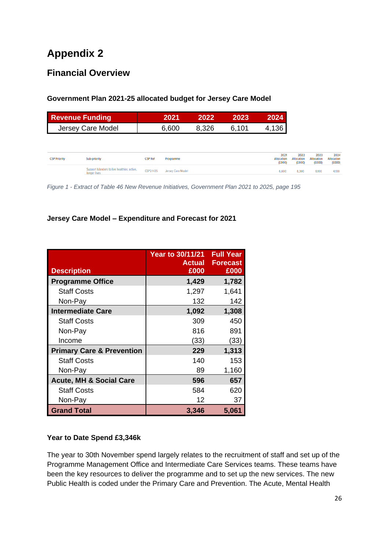## **Appendix 2**

#### **Financial Overview**

#### **Government Plan 2021-25 allocated budget for Jersey Care Model**

| <b>Revenue Funding</b> | 2021  | 2022  | 2023  | 2024  |
|------------------------|-------|-------|-------|-------|
| Jersey Care Model      | 6.600 | 8.326 | 6.101 | 4,136 |

| <b>CSP Priority</b> | Sub-priority<br>_______                                      | <b>CSP Ref</b><br>the contract of the contract of the contract of the con- | Programme<br>the property of the control of the control of the control of the control of | 2021<br>Allocation<br>(£000) | 2022<br>Allocation<br>(£000) | 2023<br>Allocation<br>(£000) | 2024<br>Allocation<br>(£000) |
|---------------------|--------------------------------------------------------------|----------------------------------------------------------------------------|------------------------------------------------------------------------------------------|------------------------------|------------------------------|------------------------------|------------------------------|
|                     | Support Islanders to live healthier, active,<br>longer lives | CSP2-1-05                                                                  | Jersey Care Model                                                                        | 6,600                        | 8,300                        | 6.100                        | 4,100                        |

*Figure 1 - Extract of Table 46 New Revenue Initiatives, Government Plan 2021 to 2025, page 195*

#### **Jersey Care Model – Expenditure and Forecast for 2021**

| <b>Description</b>                   | <b>Year to 30/11/21</b><br><b>Actual</b><br>£000 | <b>Full Year</b><br><b>Forecast</b><br>£000 |
|--------------------------------------|--------------------------------------------------|---------------------------------------------|
| <b>Programme Office</b>              | 1,429                                            | 1,782                                       |
| <b>Staff Costs</b>                   | 1,297                                            | 1,641                                       |
| Non-Pay                              | 132                                              | 142                                         |
| <b>Intermediate Care</b>             | 1,092                                            | 1,308                                       |
| <b>Staff Costs</b>                   | 309                                              | 450                                         |
| Non-Pay                              | 816                                              | 891                                         |
| Income                               | (33)                                             | (33)                                        |
| <b>Primary Care &amp; Prevention</b> | 229                                              | 1,313                                       |
| <b>Staff Costs</b>                   | 140                                              | 153                                         |
| Non-Pay                              | 89                                               | 1,160                                       |
| <b>Acute, MH &amp; Social Care</b>   | 596                                              | 657                                         |
| <b>Staff Costs</b>                   | 584                                              | 620                                         |
| Non-Pay                              | 12                                               | 37                                          |
| <b>Grand Total</b>                   | 3,346                                            | 5,061                                       |

#### **Year to Date Spend £3,346k**

The year to 30th November spend largely relates to the recruitment of staff and set up of the Programme Management Office and Intermediate Care Services teams. These teams have been the key resources to deliver the programme and to set up the new services. The new Public Health is coded under the Primary Care and Prevention. The Acute, Mental Health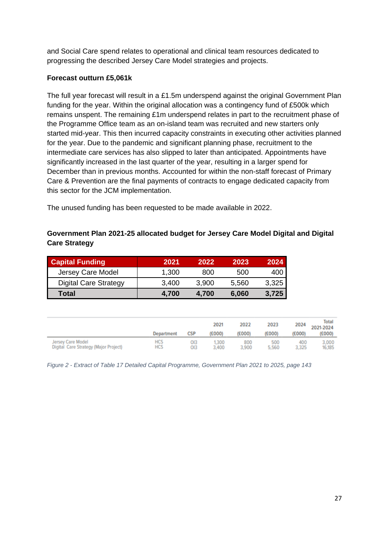and Social Care spend relates to operational and clinical team resources dedicated to progressing the described Jersey Care Model strategies and projects.

#### **Forecast outturn £5,061k**

The full year forecast will result in a £1.5m underspend against the original Government Plan funding for the year. Within the original allocation was a contingency fund of £500k which remains unspent. The remaining £1m underspend relates in part to the recruitment phase of the Programme Office team as an on-island team was recruited and new starters only started mid-year. This then incurred capacity constraints in executing other activities planned for the year. Due to the pandemic and significant planning phase, recruitment to the intermediate care services has also slipped to later than anticipated. Appointments have significantly increased in the last quarter of the year, resulting in a larger spend for December than in previous months. Accounted for within the non-staff forecast of Primary Care & Prevention are the final payments of contracts to engage dedicated capacity from this sector for the JCM implementation.

The unused funding has been requested to be made available in 2022.

#### **Government Plan 2021-25 allocated budget for Jersey Care Model Digital and Digital Care Strategy**

| <b>Capital Funding</b>       | 2021  | 2022  | 2023  | 2024  |
|------------------------------|-------|-------|-------|-------|
| Jersey Care Model            | 1,300 | 800   | 500   | 400   |
| <b>Digital Care Strategy</b> | 3,400 | 3.900 | 5.560 | 3,325 |
| Total                        | 4.700 | 4.700 | 6,060 | 3,725 |

|                                       | Department | <b>CSP</b> | 2021<br>(£000) | 2022<br>(£000) | 2023<br>(£000) | 2024<br>£000) | <b>Total</b><br>2021-2024<br>(£000) |
|---------------------------------------|------------|------------|----------------|----------------|----------------|---------------|-------------------------------------|
| Jersey Care Model                     | HCS        | OІЗ        | .300           | 800            | 500            | 400           | 3,000                               |
| Digital Care Strategy (Major Project) | <b>HCS</b> | OI3        | 3,400          | 3.900          | 5.560          | 3.325         | 16,185                              |

*Figure 2 - Extract of Table 17 Detailed Capital Programme, Government Plan 2021 to 2025, page 143*